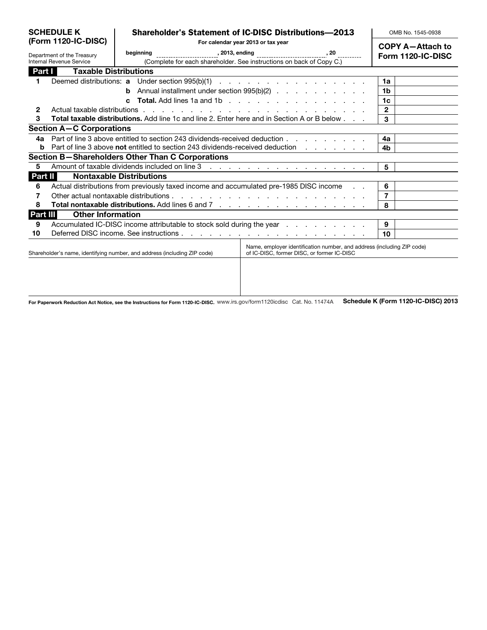| <b>SCHEDULE K</b><br>(Form 1120-IC-DISC) |                                                                                                                                                                                                  | <b>Shareholder's Statement of IC-DISC Distributions-2013</b> |                                    |                                                                                             |  |                                              | OMB No. 1545-0938 |  |
|------------------------------------------|--------------------------------------------------------------------------------------------------------------------------------------------------------------------------------------------------|--------------------------------------------------------------|------------------------------------|---------------------------------------------------------------------------------------------|--|----------------------------------------------|-------------------|--|
|                                          |                                                                                                                                                                                                  |                                                              | For calendar year 2013 or tax year |                                                                                             |  | <b>COPY A-Attach to</b><br>Form 1120-IC-DISC |                   |  |
| Department of the Treasury               |                                                                                                                                                                                                  | beginning                                                    |                                    |                                                                                             |  |                                              |                   |  |
|                                          | Internal Revenue Service                                                                                                                                                                         |                                                              |                                    | (Complete for each shareholder. See instructions on back of Copy C.)                        |  |                                              |                   |  |
| Part I                                   | <b>Taxable Distributions</b>                                                                                                                                                                     |                                                              |                                    |                                                                                             |  |                                              |                   |  |
|                                          |                                                                                                                                                                                                  |                                                              |                                    |                                                                                             |  | 1a                                           |                   |  |
|                                          |                                                                                                                                                                                                  |                                                              |                                    | <b>b</b> Annual installment under section $995(b)(2)$                                       |  | 1b                                           |                   |  |
|                                          | C.                                                                                                                                                                                               |                                                              |                                    |                                                                                             |  |                                              |                   |  |
| $\mathbf{2}$                             | Actual taxable distributions                                                                                                                                                                     |                                                              |                                    | and the contract of the contract of the contract of the contract of the contract of         |  | $\mathbf{2}$                                 |                   |  |
| 3                                        |                                                                                                                                                                                                  |                                                              |                                    | Total taxable distributions. Add line 1c and line 2. Enter here and in Section A or B below |  | 3                                            |                   |  |
|                                          | <b>Section A-C Corporations</b>                                                                                                                                                                  |                                                              |                                    |                                                                                             |  |                                              |                   |  |
| 4а                                       |                                                                                                                                                                                                  |                                                              |                                    | Part of line 3 above entitled to section 243 dividends-received deduction                   |  | 4a                                           |                   |  |
| b                                        | Part of line 3 above not entitled to section 243 dividends-received deduction                                                                                                                    |                                                              |                                    |                                                                                             |  | 4b                                           |                   |  |
|                                          | Section B-Shareholders Other Than C Corporations                                                                                                                                                 |                                                              |                                    |                                                                                             |  |                                              |                   |  |
| 5                                        |                                                                                                                                                                                                  |                                                              |                                    |                                                                                             |  | 5                                            |                   |  |
| Part II                                  |                                                                                                                                                                                                  | <b>Nontaxable Distributions</b>                              |                                    |                                                                                             |  |                                              |                   |  |
| 6                                        |                                                                                                                                                                                                  |                                                              |                                    | Actual distributions from previously taxed income and accumulated pre-1985 DISC income      |  | 6                                            |                   |  |
| 7                                        |                                                                                                                                                                                                  |                                                              |                                    |                                                                                             |  |                                              |                   |  |
| 8                                        | Total nontaxable distributions. Add lines 6 and 7                                                                                                                                                |                                                              |                                    |                                                                                             |  |                                              |                   |  |
| Part III                                 | <b>Other Information</b>                                                                                                                                                                         |                                                              |                                    |                                                                                             |  |                                              |                   |  |
| 9                                        |                                                                                                                                                                                                  |                                                              |                                    | Accumulated IC-DISC income attributable to stock sold during the year                       |  | 9                                            |                   |  |
| 10                                       |                                                                                                                                                                                                  |                                                              |                                    |                                                                                             |  | 10                                           |                   |  |
|                                          | Name, employer identification number, and address (including ZIP code)<br>Shareholder's name, identifying number, and address (including ZIP code)<br>of IC-DISC, former DISC, or former IC-DISC |                                                              |                                    |                                                                                             |  |                                              |                   |  |
|                                          |                                                                                                                                                                                                  |                                                              |                                    |                                                                                             |  |                                              |                   |  |

For Paperwork Reduction Act Notice, see the Instructions for Form 1120-IC-DISC. WWW.irs.gov/form1120icdisc Cat. No. 11474A Schedule K (Form 1120-IC-DISC) 2013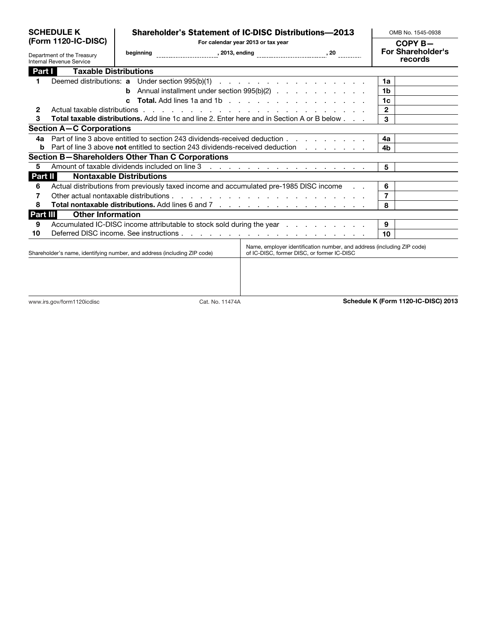| <b>SCHEDULE K</b><br>(Form 1120-IC-DISC)<br>Department of the Treasury<br>Internal Revenue Service |                                                                                                                                                                                                  | <b>Shareholder's Statement of IC-DISC Distributions-2013</b> |                                    |                                                                                                                                                                          |                                     | OMB No. 1545-0938                   |  |
|----------------------------------------------------------------------------------------------------|--------------------------------------------------------------------------------------------------------------------------------------------------------------------------------------------------|--------------------------------------------------------------|------------------------------------|--------------------------------------------------------------------------------------------------------------------------------------------------------------------------|-------------------------------------|-------------------------------------|--|
|                                                                                                    |                                                                                                                                                                                                  |                                                              | For calendar year 2013 or tax year |                                                                                                                                                                          |                                     |                                     |  |
|                                                                                                    |                                                                                                                                                                                                  |                                                              |                                    |                                                                                                                                                                          | <b>For Shareholder's</b><br>records |                                     |  |
| Part I                                                                                             | <b>Taxable Distributions</b>                                                                                                                                                                     |                                                              |                                    |                                                                                                                                                                          |                                     |                                     |  |
| 1                                                                                                  |                                                                                                                                                                                                  |                                                              |                                    | Deemed distributions: a Under section 995(b)(1)                                                                                                                          | 1a                                  |                                     |  |
|                                                                                                    |                                                                                                                                                                                                  |                                                              |                                    | Annual installment under section 995(b)(2)                                                                                                                               | 1 <sub>b</sub>                      |                                     |  |
|                                                                                                    |                                                                                                                                                                                                  | $\mathbf{c}$                                                 |                                    |                                                                                                                                                                          | 1c                                  |                                     |  |
| 2                                                                                                  | Actual taxable distributions                                                                                                                                                                     | $\mathbf{2}$                                                 |                                    |                                                                                                                                                                          |                                     |                                     |  |
| 3                                                                                                  | Total taxable distributions. Add line 1c and line 2. Enter here and in Section A or B below                                                                                                      | 3                                                            |                                    |                                                                                                                                                                          |                                     |                                     |  |
|                                                                                                    | <b>Section A-C Corporations</b>                                                                                                                                                                  |                                                              |                                    |                                                                                                                                                                          |                                     |                                     |  |
| 4a                                                                                                 |                                                                                                                                                                                                  |                                                              |                                    | Part of line 3 above entitled to section 243 dividends-received deduction enterprise to the section of the 3 above entitled to section 243 dividends-received deduction. | 4a                                  |                                     |  |
| b                                                                                                  |                                                                                                                                                                                                  |                                                              |                                    | Part of line 3 above not entitled to section 243 dividends-received deduction                                                                                            | 4b                                  |                                     |  |
|                                                                                                    |                                                                                                                                                                                                  | Section B-Shareholders Other Than C Corporations             |                                    |                                                                                                                                                                          |                                     |                                     |  |
| 5                                                                                                  |                                                                                                                                                                                                  |                                                              |                                    |                                                                                                                                                                          | 5                                   |                                     |  |
| Part II                                                                                            |                                                                                                                                                                                                  | <b>Nontaxable Distributions</b>                              |                                    |                                                                                                                                                                          |                                     |                                     |  |
| 6                                                                                                  |                                                                                                                                                                                                  |                                                              |                                    | Actual distributions from previously taxed income and accumulated pre-1985 DISC income                                                                                   | 6                                   |                                     |  |
| 7                                                                                                  |                                                                                                                                                                                                  |                                                              |                                    |                                                                                                                                                                          | $\overline{7}$                      |                                     |  |
| 8                                                                                                  | Total nontaxable distributions. Add lines 6 and 7                                                                                                                                                |                                                              |                                    |                                                                                                                                                                          | 8                                   |                                     |  |
| Part III                                                                                           | <b>Other Information</b>                                                                                                                                                                         |                                                              |                                    |                                                                                                                                                                          |                                     |                                     |  |
| 9                                                                                                  | Accumulated IC-DISC income attributable to stock sold during the year                                                                                                                            |                                                              |                                    |                                                                                                                                                                          | 9                                   |                                     |  |
| 10                                                                                                 |                                                                                                                                                                                                  |                                                              |                                    | 10                                                                                                                                                                       |                                     |                                     |  |
|                                                                                                    | Name, employer identification number, and address (including ZIP code)<br>Shareholder's name, identifying number, and address (including ZIP code)<br>of IC-DISC, former DISC, or former IC-DISC |                                                              |                                    |                                                                                                                                                                          |                                     |                                     |  |
|                                                                                                    |                                                                                                                                                                                                  |                                                              |                                    |                                                                                                                                                                          |                                     |                                     |  |
|                                                                                                    |                                                                                                                                                                                                  |                                                              |                                    |                                                                                                                                                                          |                                     |                                     |  |
|                                                                                                    | www.irs.gov/form1120icdisc                                                                                                                                                                       |                                                              | Cat. No. 11474A                    |                                                                                                                                                                          |                                     | Schedule K (Form 1120-IC-DISC) 2013 |  |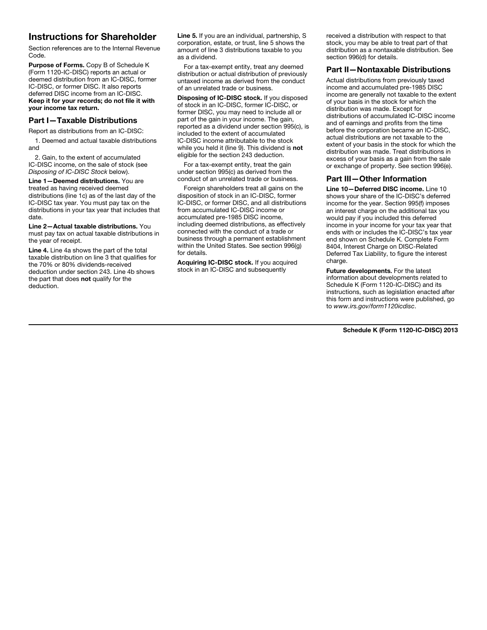## Instructions for Shareholder

Section references are to the Internal Revenue Code.

Purpose of Forms. Copy B of Schedule K (Form 1120-IC-DISC) reports an actual or deemed distribution from an IC-DISC, former IC-DISC, or former DISC. It also reports deferred DISC income from an IC-DISC. Keep it for your records; do not file it with your income tax return.

### Part I—Taxable Distributions

Report as distributions from an IC-DISC:

1. Deemed and actual taxable distributions and

2. Gain, to the extent of accumulated IC-DISC income, on the sale of stock (see *Disposing of IC-DISC Stock* below).

Line 1—Deemed distributions. You are treated as having received deemed distributions (line 1c) as of the last day of the IC-DISC tax year. You must pay tax on the distributions in your tax year that includes that date.

Line 2—Actual taxable distributions. You must pay tax on actual taxable distributions in the year of receipt.

Line 4. Line 4a shows the part of the total taxable distribution on line 3 that qualifies for the 70% or 80% dividends-received deduction under section 243. Line 4b shows the part that does not qualify for the deduction.

Line 5. If you are an individual, partnership, S corporation, estate, or trust, line 5 shows the amount of line 3 distributions taxable to you as a dividend.

For a tax-exempt entity, treat any deemed distribution or actual distribution of previously untaxed income as derived from the conduct of an unrelated trade or business.

Disposing of IC-DISC stock. If you disposed of stock in an IC-DISC, former IC-DISC, or former DISC, you may need to include all or part of the gain in your income. The gain, reported as a dividend under section 995(c), is included to the extent of accumulated IC-DISC income attributable to the stock while you held it (line 9). This dividend is not eligible for the section 243 deduction.

For a tax-exempt entity, treat the gain under section 995(c) as derived from the conduct of an unrelated trade or business.

Foreign shareholders treat all gains on the disposition of stock in an IC-DISC, former IC-DISC, or former DISC, and all distributions from accumulated IC-DISC income or accumulated pre-1985 DISC income, including deemed distributions, as effectively connected with the conduct of a trade or business through a permanent establishment within the United States. See section 996(g) for details.

Acquiring IC-DISC stock. If you acquired stock in an IC-DISC and subsequently

received a distribution with respect to that stock, you may be able to treat part of that distribution as a nontaxable distribution. See section 996(d) for details.

### Part II—Nontaxable Distributions

Actual distributions from previously taxed income and accumulated pre-1985 DISC income are generally not taxable to the extent of your basis in the stock for which the distribution was made. Except for distributions of accumulated IC-DISC income and of earnings and profits from the time before the corporation became an IC-DISC, actual distributions are not taxable to the extent of your basis in the stock for which the distribution was made. Treat distributions in excess of your basis as a gain from the sale or exchange of property. See section 996(e).

#### Part III—Other Information

Line 10—Deferred DISC income. Line 10 shows your share of the IC-DISC's deferred income for the year. Section 995(f) imposes an interest charge on the additional tax you would pay if you included this deferred income in your income for your tax year that ends with or includes the IC-DISC's tax year end shown on Schedule K. Complete Form 8404, Interest Charge on DISC-Related Deferred Tax Liability, to figure the interest charge.

Future developments**.** For the latest information about developments related to Schedule K (Form 1120-IC-DISC) and its instructions, such as legislation enacted after this form and instructions were published, go to *www.irs.gov/form1120icdisc*.

Schedule K (Form 1120-IC-DISC) 2013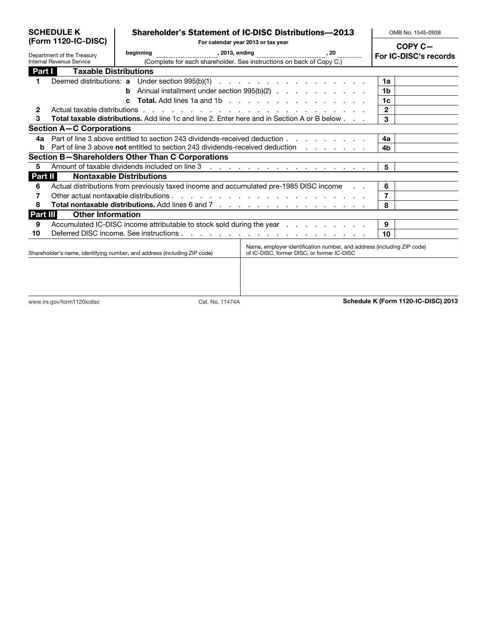| <b>SCHEDULE K</b><br>(Form 1120-IC-DISC)<br>Department of the Treasury<br>Internal Revenue Service |                                                                                        | <b>Shareholder's Statement of IC-DISC Distributions-2013</b><br>For calendar year 2013 or tax year<br>beginning |                                                                      |                                                                                                                                                                          | OMB No. 1545-0938 |                                     |
|----------------------------------------------------------------------------------------------------|----------------------------------------------------------------------------------------|-----------------------------------------------------------------------------------------------------------------|----------------------------------------------------------------------|--------------------------------------------------------------------------------------------------------------------------------------------------------------------------|-------------------|-------------------------------------|
|                                                                                                    |                                                                                        |                                                                                                                 |                                                                      |                                                                                                                                                                          |                   | COPY C-<br>For IC-DISC's records    |
|                                                                                                    |                                                                                        |                                                                                                                 | (Complete for each shareholder. See instructions on back of Copy C.) |                                                                                                                                                                          |                   |                                     |
| Part I                                                                                             | <b>Taxable Distributions</b>                                                           |                                                                                                                 |                                                                      |                                                                                                                                                                          |                   |                                     |
| 1.                                                                                                 |                                                                                        |                                                                                                                 |                                                                      |                                                                                                                                                                          |                   | 1a                                  |
|                                                                                                    |                                                                                        |                                                                                                                 |                                                                      | <b>b</b> Annual installment under section $995(b)(2)$                                                                                                                    |                   | 1 <sub>b</sub>                      |
|                                                                                                    |                                                                                        | $\mathbf{c}$                                                                                                    |                                                                      |                                                                                                                                                                          |                   | 1c                                  |
| $\mathbf{2}$                                                                                       | Actual taxable distributions                                                           |                                                                                                                 |                                                                      | .                                                                                                                                                                        |                   | 2                                   |
| 3                                                                                                  |                                                                                        |                                                                                                                 |                                                                      | Total taxable distributions. Add line 1c and line 2. Enter here and in Section A or B below                                                                              |                   | 3                                   |
|                                                                                                    | <b>Section A-C Corporations</b>                                                        |                                                                                                                 |                                                                      |                                                                                                                                                                          |                   |                                     |
| 4a                                                                                                 |                                                                                        |                                                                                                                 |                                                                      | Part of line 3 above entitled to section 243 dividends-received deduction enterprise to the section of the 3 above entitled to section 243 dividends-received deduction. |                   | 4a                                  |
| b                                                                                                  |                                                                                        |                                                                                                                 |                                                                      | Part of line 3 above not entitled to section 243 dividends-received deduction                                                                                            |                   | 4b                                  |
|                                                                                                    | Section B-Shareholders Other Than C Corporations                                       |                                                                                                                 |                                                                      |                                                                                                                                                                          |                   |                                     |
| 5                                                                                                  |                                                                                        |                                                                                                                 |                                                                      |                                                                                                                                                                          |                   | 5                                   |
| Part II                                                                                            |                                                                                        | <b>Nontaxable Distributions</b>                                                                                 |                                                                      |                                                                                                                                                                          |                   |                                     |
| 6                                                                                                  |                                                                                        |                                                                                                                 |                                                                      |                                                                                                                                                                          |                   | 6                                   |
| 7                                                                                                  | Actual distributions from previously taxed income and accumulated pre-1985 DISC income |                                                                                                                 |                                                                      |                                                                                                                                                                          |                   | 7                                   |
| 8                                                                                                  |                                                                                        |                                                                                                                 |                                                                      |                                                                                                                                                                          |                   | 8                                   |
| Part III                                                                                           | <b>Other Information</b>                                                               |                                                                                                                 |                                                                      |                                                                                                                                                                          |                   |                                     |
| 9                                                                                                  |                                                                                        |                                                                                                                 |                                                                      | Accumulated IC-DISC income attributable to stock sold during the year                                                                                                    |                   | 9                                   |
| 10                                                                                                 |                                                                                        |                                                                                                                 |                                                                      |                                                                                                                                                                          |                   | 10                                  |
|                                                                                                    | Shareholder's name, identifying number, and address (including ZIP code)               |                                                                                                                 |                                                                      | Name, employer identification number, and address (including ZIP code)<br>of IC-DISC, former DISC, or former IC-DISC                                                     |                   |                                     |
|                                                                                                    |                                                                                        |                                                                                                                 |                                                                      |                                                                                                                                                                          |                   |                                     |
|                                                                                                    | www.irs.gov/form1120icdisc                                                             |                                                                                                                 | Cat. No. 11474A                                                      |                                                                                                                                                                          |                   | Schedule K (Form 1120-IC-DISC) 2013 |